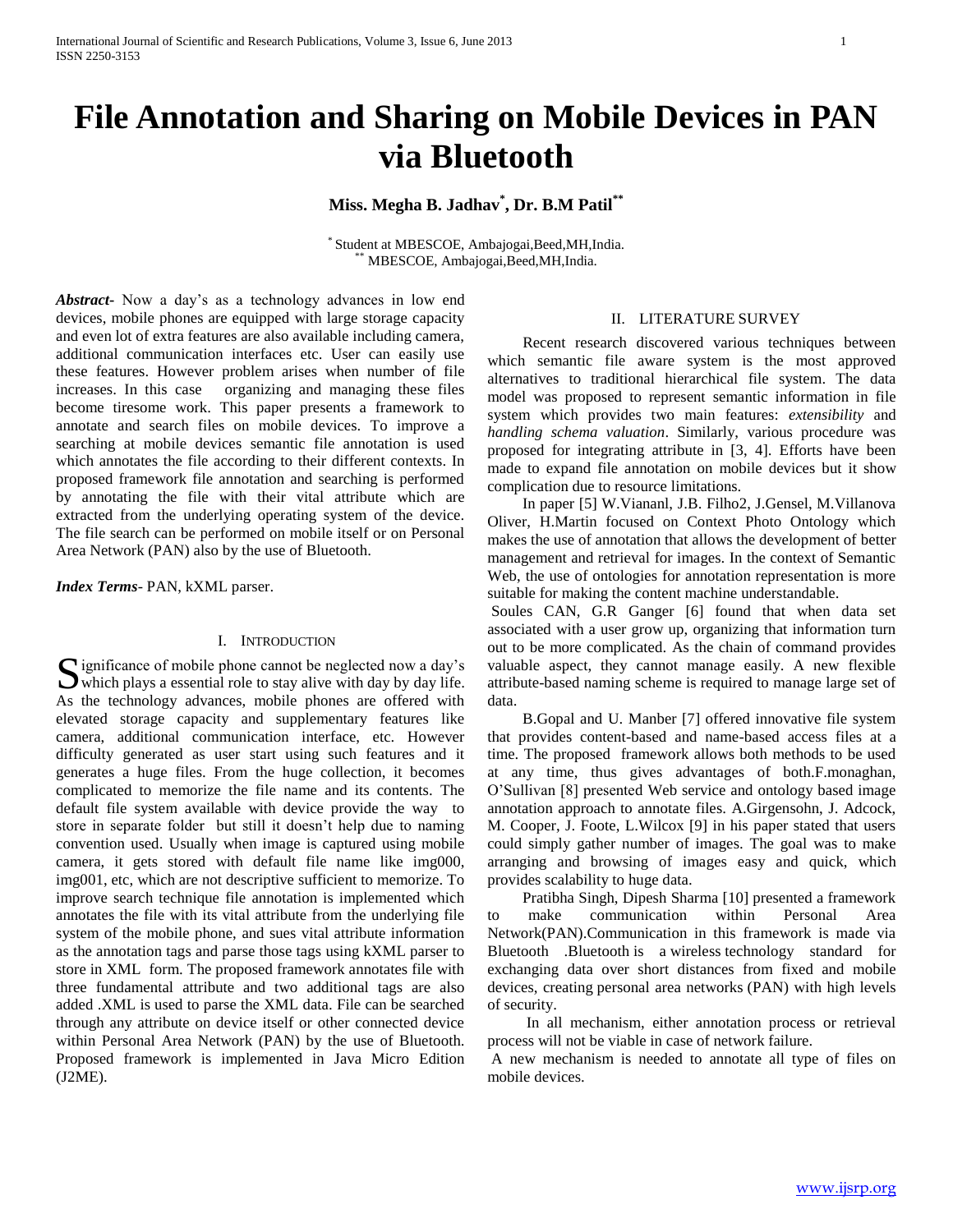# **File Annotation and Sharing on Mobile Devices in PAN via Bluetooth**

**Miss. Megha B. Jadhav\* , Dr. B.M Patil\*\***

\* Student at MBESCOE, Ambajogai,Beed,MH,India. MBESCOE, Ambajogai,Beed,MH,India.

*Abstract***-** Now a day's as a technology advances in low end devices, mobile phones are equipped with large storage capacity and even lot of extra features are also available including camera, additional communication interfaces etc. User can easily use these features. However problem arises when number of file increases. In this case organizing and managing these files become tiresome work. This paper presents a framework to annotate and search files on mobile devices. To improve a searching at mobile devices semantic file annotation is used which annotates the file according to their different contexts. In proposed framework file annotation and searching is performed by annotating the file with their vital attribute which are extracted from the underlying operating system of the device. The file search can be performed on mobile itself or on Personal Area Network (PAN) also by the use of Bluetooth.

*Index Terms*- PAN, kXML parser.

# I. INTRODUCTION

ignificance of mobile phone cannot be neglected now a day's Significance of mobile phone cannot be neglected now a day's which plays a essential role to stay alive with day by day life. As the technology advances, mobile phones are offered with elevated storage capacity and supplementary features like camera, additional communication interface, etc. However difficulty generated as user start using such features and it generates a huge files. From the huge collection, it becomes complicated to memorize the file name and its contents. The default file system available with device provide the way to store in separate folder but still it doesn't help due to naming convention used. Usually when image is captured using mobile camera, it gets stored with default file name like img000, img001, etc, which are not descriptive sufficient to memorize. To improve search technique file annotation is implemented which annotates the file with its vital attribute from the underlying file system of the mobile phone, and sues vital attribute information as the annotation tags and parse those tags using kXML parser to store in XML form. The proposed framework annotates file with three fundamental attribute and two additional tags are also added .XML is used to parse the XML data. File can be searched through any attribute on device itself or other connected device within Personal Area Network (PAN) by the use of Bluetooth. Proposed framework is implemented in Java Micro Edition (J2ME).

### II. LITERATURE SURVEY

 Recent research discovered various techniques between which semantic file aware system is the most approved alternatives to traditional hierarchical file system. The data model was proposed to represent semantic information in file system which provides two main features: *extensibility* and *handling schema valuation*. Similarly, various procedure was proposed for integrating attribute in [3, 4]. Efforts have been made to expand file annotation on mobile devices but it show complication due to resource limitations.

 In paper [5] W.Viananl, J.B. Filho2, J.Gensel, M.Villanova Oliver, H.Martin focused on Context Photo Ontology which makes the use of annotation that allows the development of better management and retrieval for images. In the context of Semantic Web, the use of ontologies for annotation representation is more suitable for making the content machine understandable.

Soules CAN, G.R Ganger [6] found that when data set associated with a user grow up, organizing that information turn out to be more complicated. As the chain of command provides valuable aspect, they cannot manage easily. A new flexible attribute-based naming scheme is required to manage large set of data.

 B.Gopal and U. Manber [7] offered innovative file system that provides content-based and name-based access files at a time. The proposed framework allows both methods to be used at any time, thus gives advantages of both.F.monaghan, O'Sullivan [8] presented Web service and ontology based image annotation approach to annotate files. A.Girgensohn, J. Adcock, M. Cooper, J. Foote, L.Wilcox [9] in his paper stated that users could simply gather number of images. The goal was to make arranging and browsing of images easy and quick, which provides scalability to huge data.

 Pratibha Singh, Dipesh Sharma [10] presented a framework to make communication within Personal Area Network(PAN).Communication in this framework is made via Bluetooth .Bluetooth is a wireless technology standard for exchanging data over short distances from fixed and mobile devices, creating personal area networks (PAN) with high levels of security.

 In all mechanism, either annotation process or retrieval process will not be viable in case of network failure.

A new mechanism is needed to annotate all type of files on mobile devices.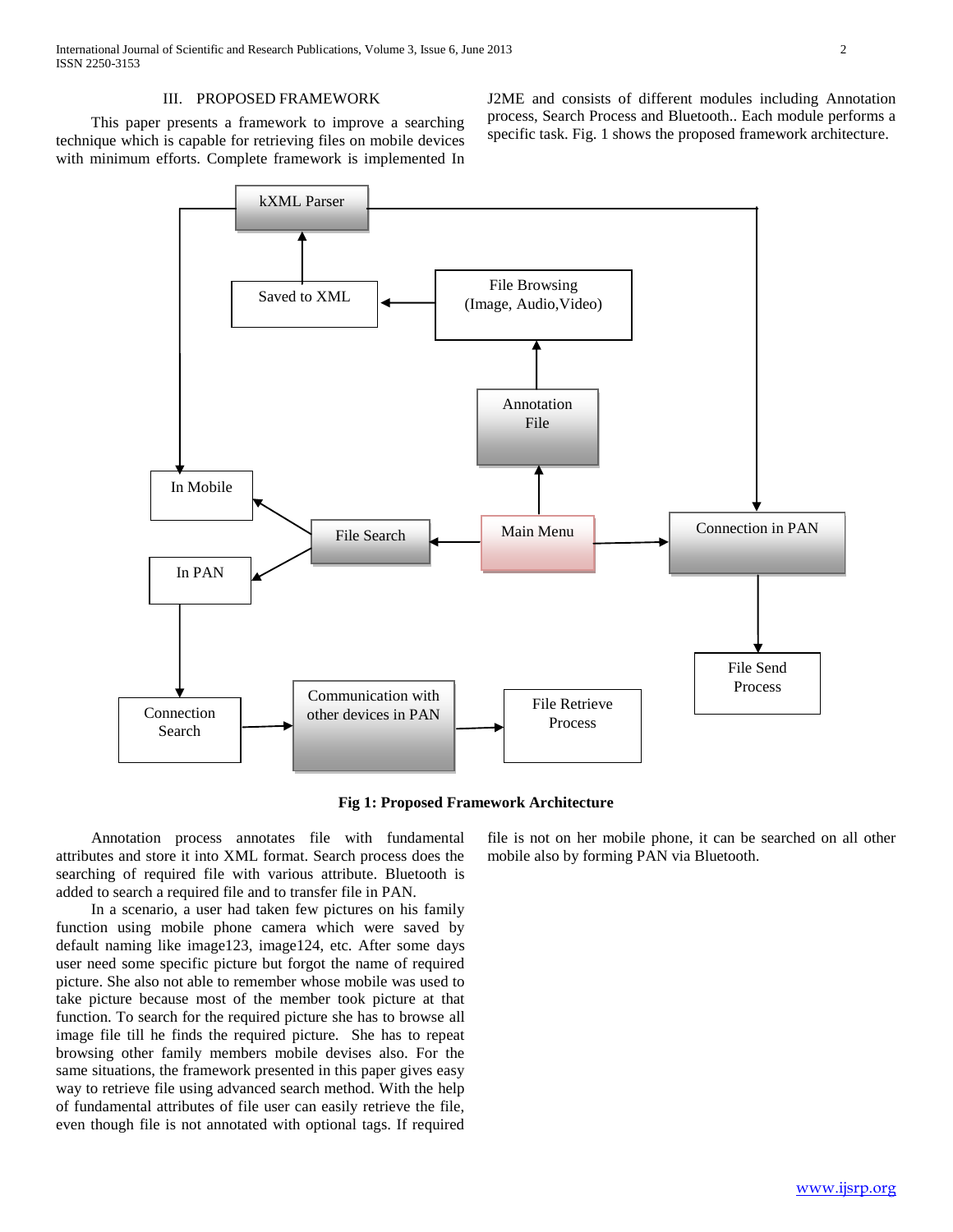# III. PROPOSED FRAMEWORK

 This paper presents a framework to improve a searching technique which is capable for retrieving files on mobile devices with minimum efforts. Complete framework is implemented In J2ME and consists of different modules including Annotation process, Search Process and Bluetooth.. Each module performs a specific task. Fig. 1 shows the proposed framework architecture.





 Annotation process annotates file with fundamental attributes and store it into XML format. Search process does the searching of required file with various attribute. Bluetooth is added to search a required file and to transfer file in PAN.

 In a scenario, a user had taken few pictures on his family function using mobile phone camera which were saved by default naming like image123, image124, etc. After some days user need some specific picture but forgot the name of required picture. She also not able to remember whose mobile was used to take picture because most of the member took picture at that function. To search for the required picture she has to browse all image file till he finds the required picture. She has to repeat browsing other family members mobile devises also. For the same situations, the framework presented in this paper gives easy way to retrieve file using advanced search method. With the help of fundamental attributes of file user can easily retrieve the file, even though file is not annotated with optional tags. If required

file is not on her mobile phone, it can be searched on all other mobile also by forming PAN via Bluetooth.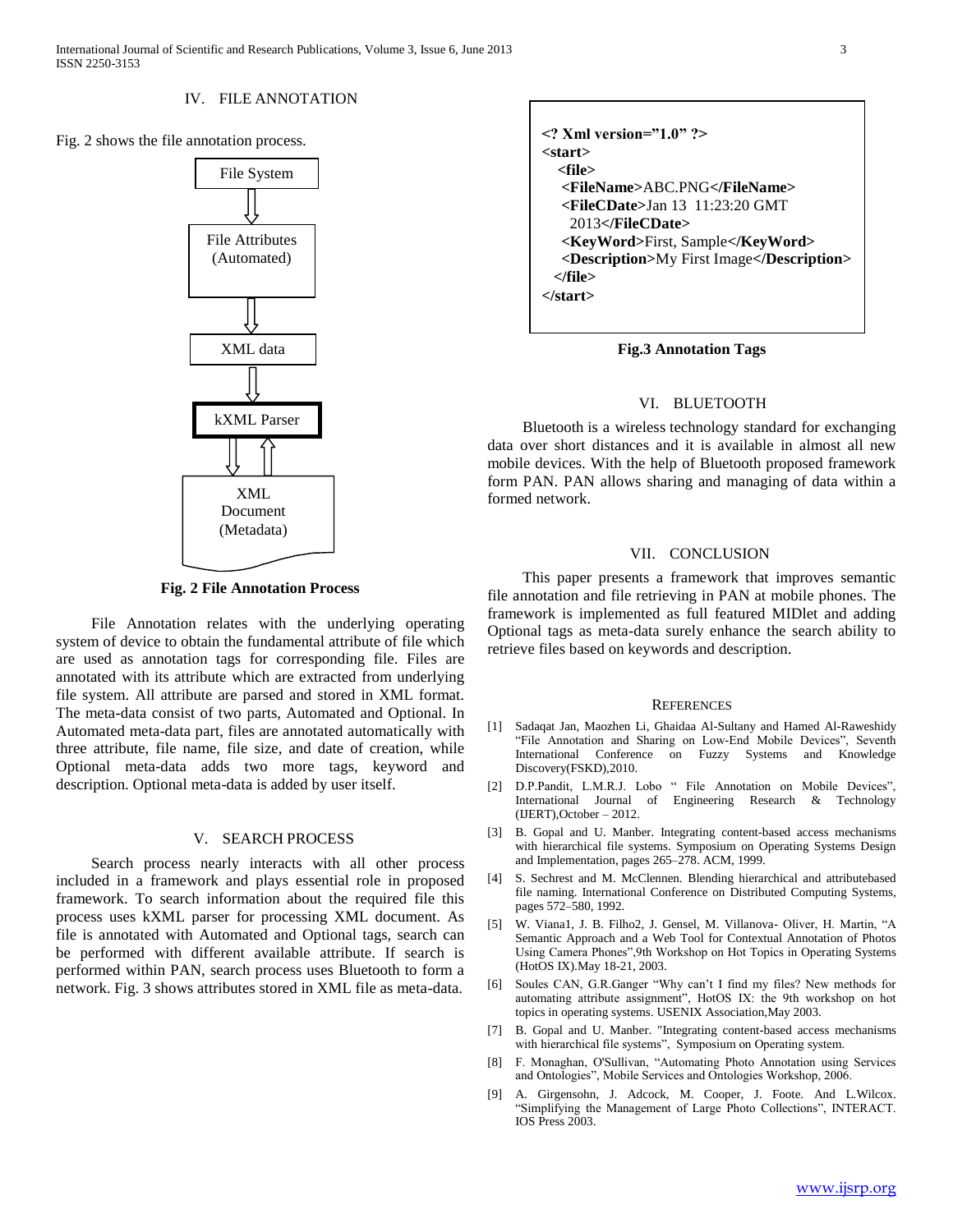#### IV. FILE ANNOTATION

Fig. 2 shows the file annotation process.



**Fig. 2 File Annotation Process**

 File Annotation relates with the underlying operating system of device to obtain the fundamental attribute of file which are used as annotation tags for corresponding file. Files are annotated with its attribute which are extracted from underlying file system. All attribute are parsed and stored in XML format. The meta-data consist of two parts, Automated and Optional. In Automated meta-data part, files are annotated automatically with three attribute, file name, file size, and date of creation, while Optional meta-data adds two more tags, keyword and description. Optional meta-data is added by user itself.

# V. SEARCH PROCESS

 Search process nearly interacts with all other process included in a framework and plays essential role in proposed framework. To search information about the required file this process uses kXML parser for processing XML document. As file is annotated with Automated and Optional tags, search can be performed with different available attribute. If search is performed within PAN, search process uses Bluetooth to form a network. Fig. 3 shows attributes stored in XML file as meta-data.



**Fig.3 Annotation Tags**

### VI. BLUETOOTH

 Bluetooth is a wireless technology standard for exchanging data over short distances and it is available in almost all new mobile devices. With the help of Bluetooth proposed framework form PAN. PAN allows sharing and managing of data within a formed network.

#### VII. CONCLUSION

 This paper presents a framework that improves semantic file annotation and file retrieving in PAN at mobile phones. The framework is implemented as full featured MIDlet and adding Optional tags as meta-data surely enhance the search ability to retrieve files based on keywords and description.

#### **REFERENCES**

- [1] Sadaqat Jan, Maozhen Li, Ghaidaa Al-Sultany and Hamed Al-Raweshidy "File Annotation and Sharing on Low-End Mobile Devices", Seventh International Conference on Fuzzy Systems and Knowledge Discovery(FSKD),2010.
- [2] D.P.Pandit, L.M.R.J. Lobo " File Annotation on Mobile Devices", International Journal of Engineering Research & Technology (IJERT),October – 2012.
- [3] B. Gopal and U. Manber. Integrating content-based access mechanisms with hierarchical file systems. Symposium on Operating Systems Design and Implementation, pages 265–278. ACM, 1999.
- [4] S. Sechrest and M. McClennen. Blending hierarchical and attributebased file naming. International Conference on Distributed Computing Systems, pages 572–580, 1992.
- [5] W. Viana1, J. B. Filho2, J. Gensel, M. Villanova- Oliver, H. Martin, "A Semantic Approach and a Web Tool for Contextual Annotation of Photos Using Camera Phones",9th Workshop on Hot Topics in Operating Systems (HotOS IX).May 18-21, 2003.
- [6] Soules CAN, G.R.Ganger "Why can't I find my files? New methods for automating attribute assignment", HotOS IX: the 9th workshop on hot topics in operating systems. USENIX Association,May 2003.
- [7] B. Gopal and U. Manber. "Integrating content-based access mechanisms with hierarchical file systems", Symposium on Operating system.
- [8] F. Monaghan, O'Sullivan, "Automating Photo Annotation using Services and Ontologies", Mobile Services and Ontologies Workshop, 2006.
- [9] A. Girgensohn, J. Adcock, M. Cooper, J. Foote. And L.Wilcox. "Simplifying the Management of Large Photo Collections", INTERACT. IOS Press 2003.